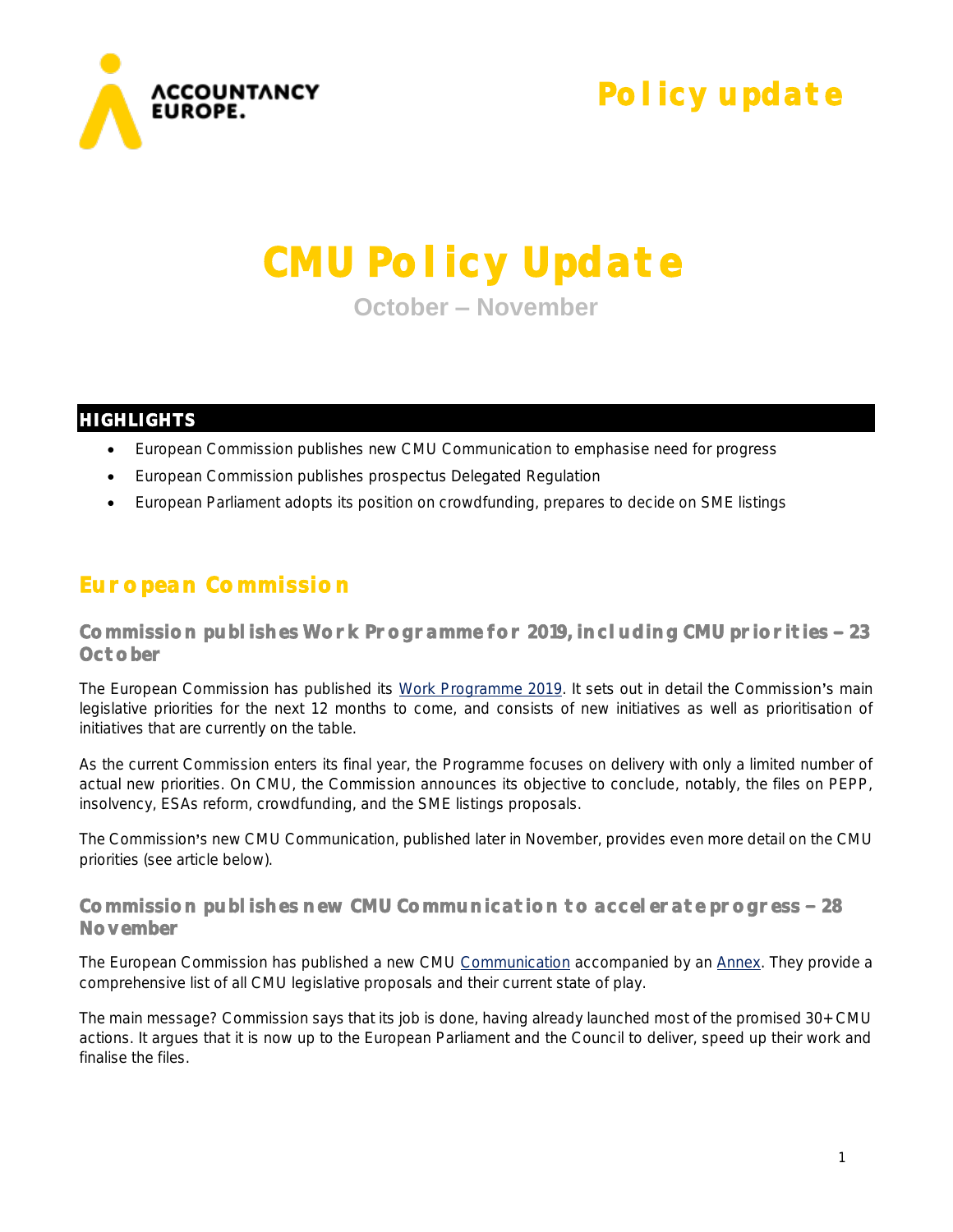

**Policy update** 

# **CMU Policy Update**

**October – November**

#### **HIGHLIGHTS**

- European Commission publishes new CMU Communication to emphasise need for progress
- European Commission publishes prospectus Delegated Regulation
- European Parliament adopts its position on crowdfunding, prepares to decide on SME listings

## **European Commission**

**Commission publishes Work Programme for 2019, including CMU priorities 23 October** 

The European Commission has published its [Work Programme](https://ec.europa.eu/info/sites/info/files/cwp_2019_en.pdf) 2019. It sets out in detail the Commission's main legislative priorities for the next 12 months to come, and consists of new initiatives as well as prioritisation of initiatives that are currently on the table.

As the current Commission enters its final year, the Programme focuses on delivery with only a limited number of actual new priorities. On CMU, the Commission announces its objective to conclude, notably, the files on PEPP, insolvency, ESAs reform, crowdfunding, and the SME listings proposals.

The Commission's new CMU Communication, published later in November, provides even more detail on the CMU priorities (see article below).

#### **Commission publishes new CMU Communication to accelerate progress 28 November**

The European Commission has published a new CMU [Communication](http://ec.europa.eu/finance/docs/policy/181128-communication-cmu_en.pdf) accompanied by an [Annex.](http://ec.europa.eu/finance/docs/policy/181128-communication-cmu-annex_en.pdf) They provide a comprehensive list of all CMU legislative proposals and their current state of play.

The main message? Commission says that its job is done, having already launched most of the promised 30+ CMU actions. It argues that it is now up to the European Parliament and the Council to deliver, speed up their work and finalise the files.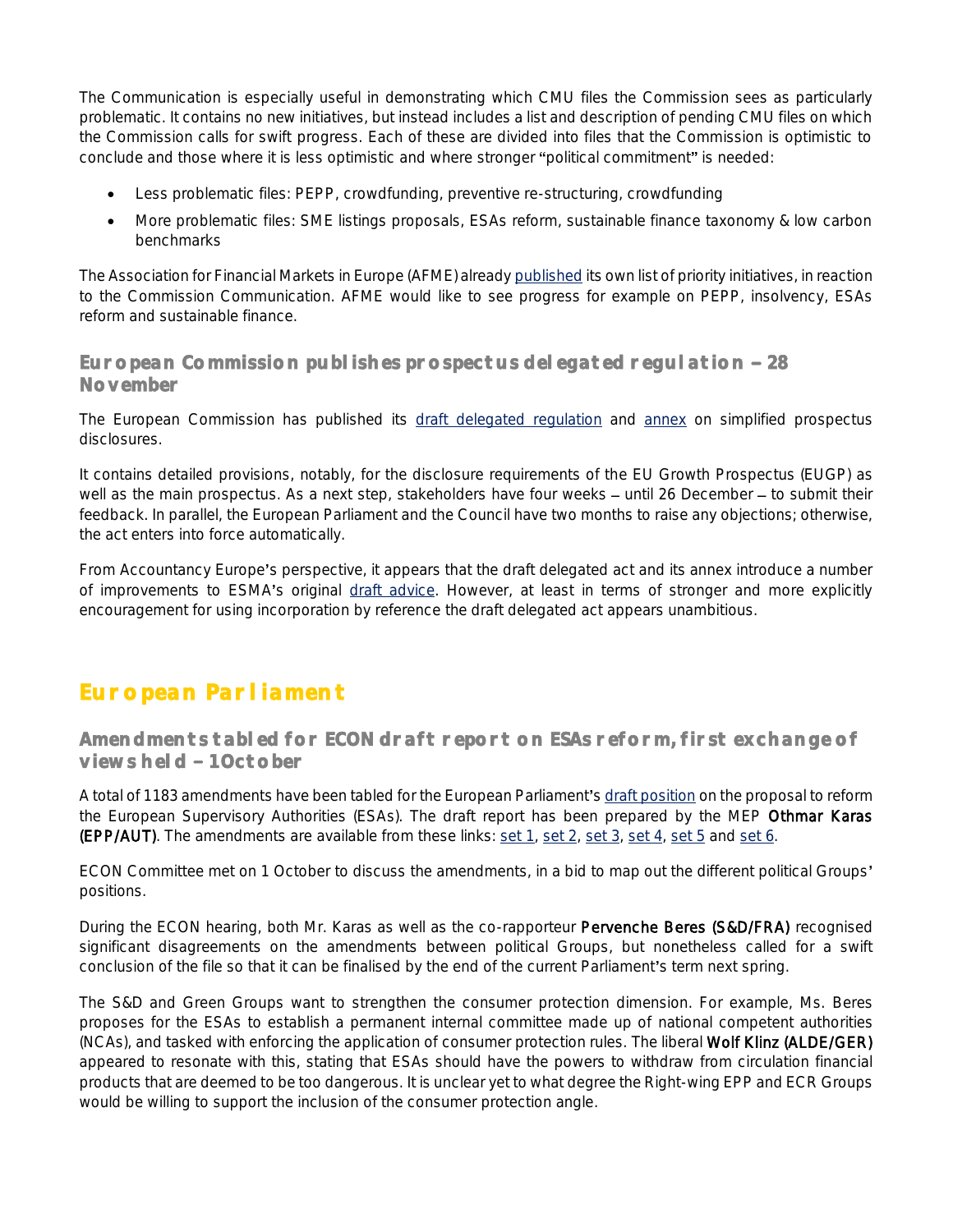The Communication is especially useful in demonstrating which CMU files the Commission sees as particularly problematic. It contains no new initiatives, but instead includes a list and description of pending CMU files on which the Commission calls for swift progress. Each of these are divided into files that the Commission is optimistic to conclude and those where it is less optimistic and where stronger "political commitment" is needed:

- Less problematic files: PEPP, crowdfunding, preventive re-structuring, crowdfunding
- More problematic files: SME listings proposals, ESAs reform, sustainable finance taxonomy & low carbon benchmarks

The Association for Financial Markets in Europe (AFME) already [published](https://www.afme.eu/en/news/press-releases/2017/afme-welcomes-call-to-redouble-efforts-on-cmu/) its own list of priority initiatives, in reaction to the Commission Communication. AFME would like to see progress for example on PEPP, insolvency, ESAs reform and sustainable finance.

#### **European Commission publishes prospectus delegated regulation 28 November**

The European Commission has published its [draft delegated regulation](https://ec.europa.eu/info/law/better-regulation/initiative/1723/publication/336521/attachment/090166e5bf91ac76_en) and [annex](https://ec.europa.eu/info/law/better-regulation/initiative/1723/publication/336521/attachment/090166e5bf91ac3a_en) on simplified prospectus disclosures.

It contains detailed provisions, notably, for the disclosure requirements of the EU Growth Prospectus (EUGP) as well as the main prospectus. As a next step, stakeholders have four weeks - until 26 December - to submit their feedback. In parallel, the European Parliament and the Council have two months to raise any objections; otherwise, the act enters into force automatically.

From Accountancy Europe's perspective, it appears that the draft delegated act and its annex introduce a number of improvements to ESMA's original [draft advice.](https://www.esma.europa.eu/sites/default/files/library/esma31-62-800_final_report_on_technical_advice_under_the_pr.pdf) However, at least in terms of stronger and more explicitly encouragement for using incorporation by reference the draft delegated act appears unambitious.

## **European Parliament**

**Amendments tabled for ECON draft report on ESAs reform, first exchange of**  views held - 1 October

A total of 1183 amendments have been tabled for the European Parliament'[s draft position](http://www.europarl.europa.eu/sides/getDoc.do?pubRef=-//EP//NONSGML+COMPARL+PE-625.358+01+DOC+PDF+V0//EN&language=EN) on the proposal to reform the European Supervisory Authorities (ESAs). The draft report has been prepared by the MEP Othmar Karas (EPP/AUT). The amendments are available from these links: [set 1,](http://www.europarl.europa.eu/sides/getDoc.do?pubRef=-//EP//NONSGML+COMPARL+PE-629.533+01+DOC+PDF+V0//EN&language=EN) [set 2,](http://www.europarl.europa.eu/sides/getDoc.do?pubRef=-//EP//NONSGML+COMPARL+PE-627.677+01+DOC+PDF+V0//EN&language=EN) [set 3,](http://www.europarl.europa.eu/sides/getDoc.do?pubRef=-//EP//NONSGML+COMPARL+PE-627.678+01+DOC+PDF+V0//EN&language=EN) [set 4,](http://www.europarl.europa.eu/sides/getDoc.do?pubRef=-//EP//NONSGML+COMPARL+PE-627.679+01+DOC+PDF+V0//EN&language=EN) [set 5](http://www.europarl.europa.eu/sides/getDoc.do?pubRef=-//EP//NONSGML+COMPARL+PE-627.680+01+DOC+PDF+V0//EN&language=EN) and [set 6.](http://www.europarl.europa.eu/sides/getDoc.do?pubRef=-//EP//NONSGML+COMPARL+PE-627.681+01+DOC+PDF+V0//EN&language=EN)

ECON Committee met on 1 October to discuss the amendments, in a bid to map out the different political Groups' positions.

During the ECON hearing, both Mr. Karas as well as the co-rapporteur Pervenche Beres (S&D/FRA) recognised significant disagreements on the amendments between political Groups, but nonetheless called for a swift conclusion of the file so that it can be finalised by the end of the current Parliament's term next spring.

The S&D and Green Groups want to strengthen the consumer protection dimension. For example, Ms. Beres proposes for the ESAs to establish a permanent internal committee made up of national competent authorities (NCAs), and tasked with enforcing the application of consumer protection rules. The liberal Wolf Klinz (ALDE/GER) appeared to resonate with this, stating that ESAs should have the powers to withdraw from circulation financial products that are deemed to be too dangerous. It is unclear yet to what degree the Right-wing EPP and ECR Groups would be willing to support the inclusion of the consumer protection angle.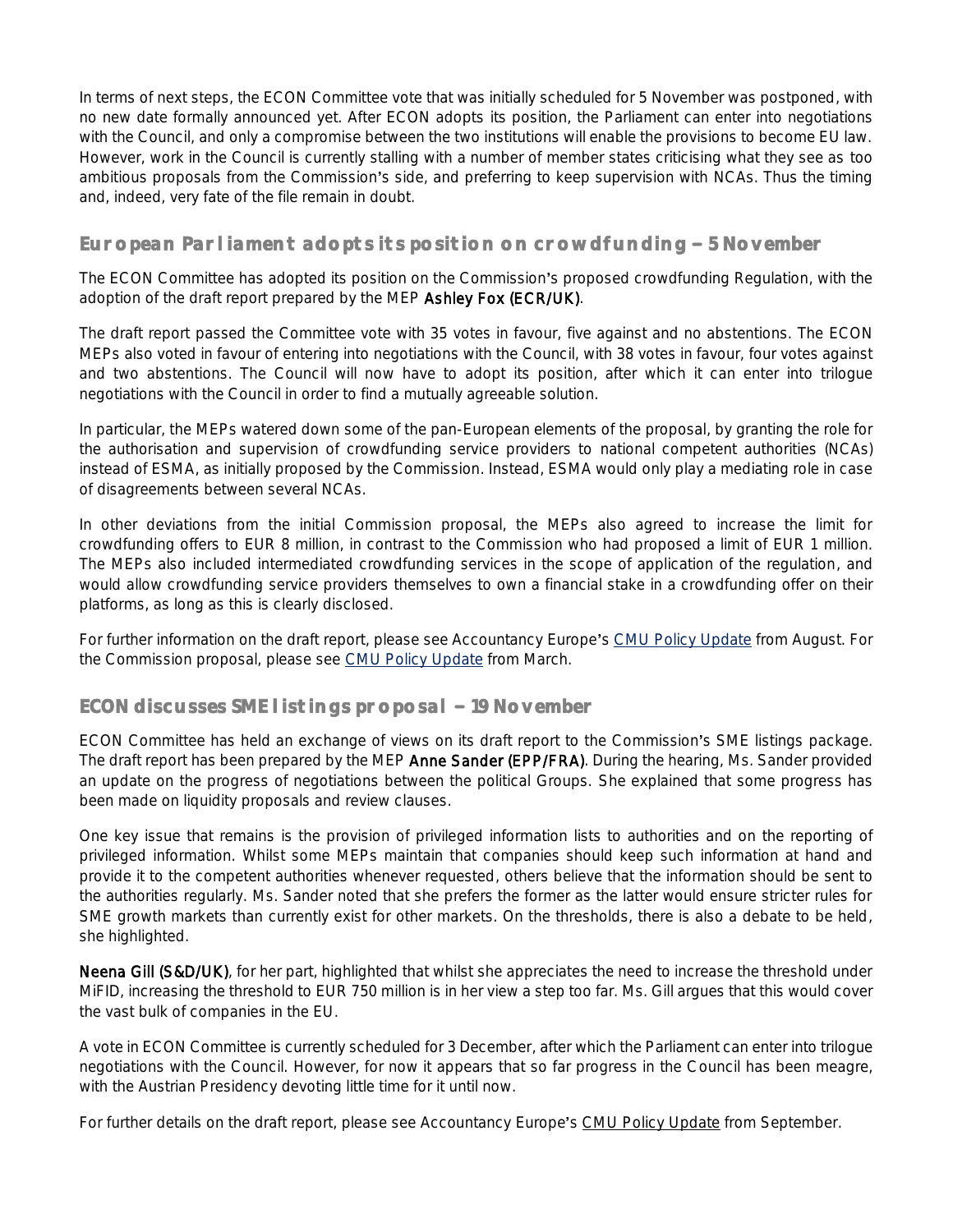In terms of next steps, the ECON Committee vote that was initially scheduled for 5 November was postponed, with no new date formally announced yet. After ECON adopts its position, the Parliament can enter into negotiations with the Council, and only a compromise between the two institutions will enable the provisions to become EU law. However, work in the Council is currently stalling with a number of member states criticising what they see as too ambitious proposals from the Commission's side, and preferring to keep supervision with NCAs. Thus the timing and, indeed, very fate of the file remain in doubt.

#### European Parliament adopts its position on crowdfunding - 5 November

The ECON Committee has adopted its position on the Commission's proposed crowdfunding Regulation, with the adoption of the draft report prepared by the MEP Ashley Fox (ECR/UK).

The draft report passed the Committee vote with 35 votes in favour, five against and no abstentions. The ECON MEPs also voted in favour of entering into negotiations with the Council, with 38 votes in favour, four votes against and two abstentions. The Council will now have to adopt its position, after which it can enter into trilogue negotiations with the Council in order to find a mutually agreeable solution.

In particular, the MEPs watered down some of the pan-European elements of the proposal, by granting the role for the authorisation and supervision of crowdfunding service providers to national competent authorities (NCAs) instead of ESMA, as initially proposed by the Commission. Instead, ESMA would only play a mediating role in case of disagreements between several NCAs.

In other deviations from the initial Commission proposal, the MEPs also agreed to increase the limit for crowdfunding offers to EUR 8 million, in contrast to the Commission who had proposed a limit of EUR 1 million. The MEPs also included intermediated crowdfunding services in the scope of application of the regulation, and would allow crowdfunding service providers themselves to own a financial stake in a crowdfunding offer on their platforms, as long as this is clearly disclosed.

For further information on the draft report, please see Accountancy Europe's [CMU Policy Update](https://www.accountancyeurope.eu/wp-content/uploads/180903_CMU-PU-August.pdf) from August. For the Commission proposal, please see [CMU Policy](https://www.accountancyeurope.eu/wp-content/uploads/180404_CMU-PU-March.pdf) Update from March.

#### **ECON discusses SME listings proposal - 19 November**

ECON Committee has held an exchange of views on its draft report to the Commission's SME listings package. The draft report has been prepared by the MEP Anne Sander (EPP/FRA). During the hearing, Ms. Sander provided an update on the progress of negotiations between the political Groups. She explained that some progress has been made on liquidity proposals and review clauses.

One key issue that remains is the provision of privileged information lists to authorities and on the reporting of privileged information. Whilst some MEPs maintain that companies should keep such information at hand and provide it to the competent authorities whenever requested, others believe that the information should be sent to the authorities regularly. Ms. Sander noted that she prefers the former as the latter would ensure stricter rules for SME growth markets than currently exist for other markets. On the thresholds, there is also a debate to be held, she highlighted.

Neena Gill (S&D/UK), for her part, highlighted that whilst she appreciates the need to increase the threshold under MiFID, increasing the threshold to EUR 750 million is in her view a step too far. Ms. Gill argues that this would cover the vast bulk of companies in the EU.

A vote in ECON Committee is currently scheduled for 3 December, after which the Parliament can enter into trilogue negotiations with the Council. However, for now it appears that so far progress in the Council has been meagre, with the Austrian Presidency devoting little time for it until now.

For further details on the draft report, please see Accountancy Europe's [CMU Policy Update](https://www.accountancyeurope.eu/wp-content/uploads/181002_CMU-PU-September.pdf) from September.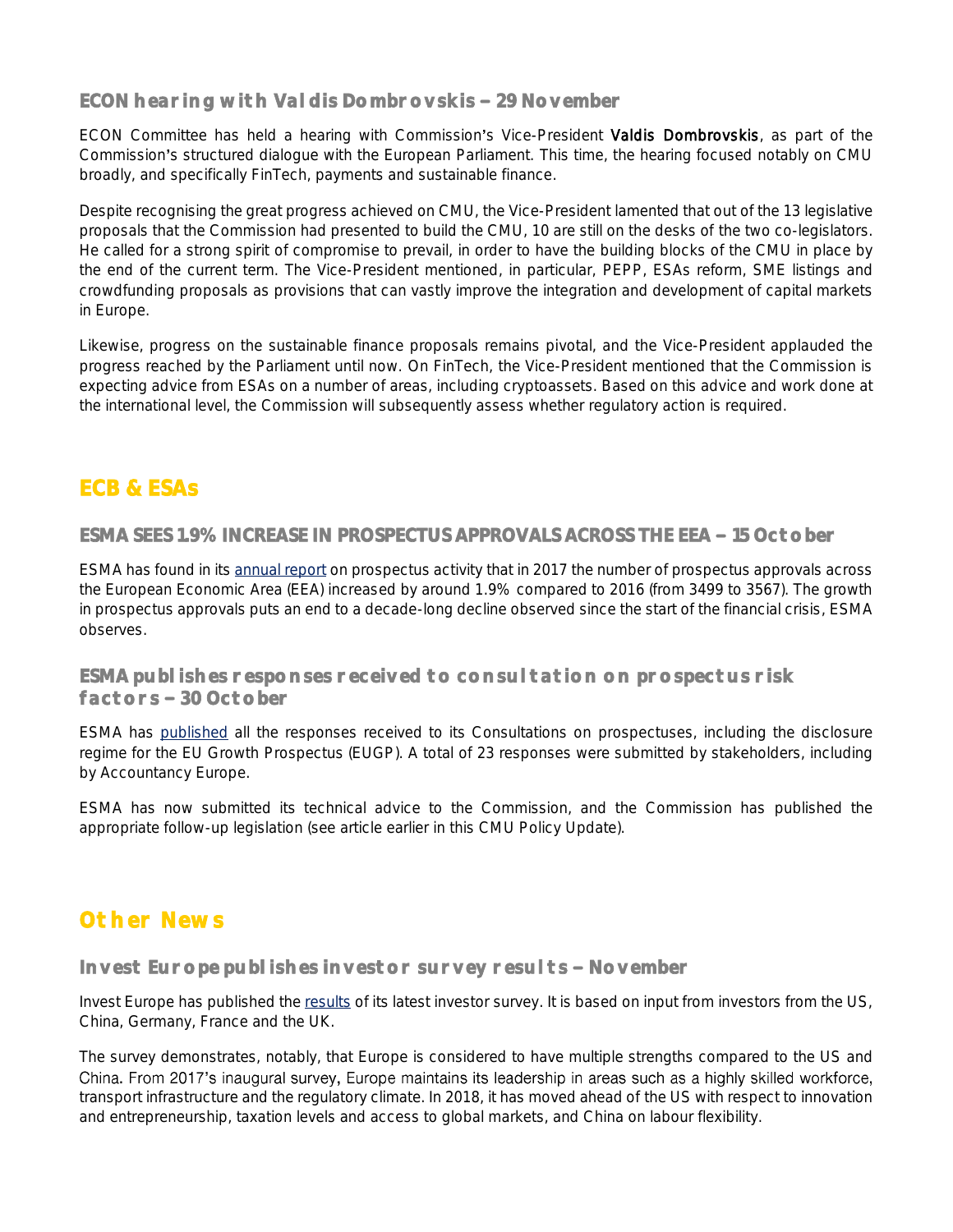#### **ECON hearing with Valdis Dombrovskis 29 November**

ECON Committee has held a hearing with Commission's Vice-President Valdis Dombrovskis, as part of the Commission's structured dialogue with the European Parliament. This time, the hearing focused notably on CMU broadly, and specifically FinTech, payments and sustainable finance.

Despite recognising the great progress achieved on CMU, the Vice-President lamented that out of the 13 legislative proposals that the Commission had presented to build the CMU, 10 are still on the desks of the two co-legislators. He called for a strong spirit of compromise to prevail, in order to have the building blocks of the CMU in place by the end of the current term. The Vice-President mentioned, in particular, PEPP, ESAs reform, SME listings and crowdfunding proposals as provisions that can vastly improve the integration and development of capital markets in Europe.

Likewise, progress on the sustainable finance proposals remains pivotal, and the Vice-President applauded the progress reached by the Parliament until now. On FinTech, the Vice-President mentioned that the Commission is expecting advice from ESAs on a number of areas, including cryptoassets. Based on this advice and work done at the international level, the Commission will subsequently assess whether regulatory action is required.

## **ECB & ESAs**

**ESMA SEES 1.9% INCREASE IN PROSPECTUS APPROVALS ACROSS THE EEA - 15 October** 

ESMA has found in its [annual report](https://www.esma.europa.eu/sites/default/files/library/esma31-62-1114_eea_prospectus_activity_in_2017.pdf) on prospectus activity that in 2017 the number of prospectus approvals across the European Economic Area (EEA) increased by around 1.9% compared to 2016 (from 3499 to 3567). The growth in prospectus approvals puts an end to a decade-long decline observed since the start of the financial crisis, ESMA observes.

**ESMA publishes responses received to consultation on prospectus risk factors 30 October** 

ESMA has [published](https://www.esma.europa.eu/press-news/consultations/consultation-draft-guidelines-risk-factors-under-prospectus-regulation) all the responses received to its Consultations on prospectuses, including the disclosure regime for the EU Growth Prospectus (EUGP). A total of 23 responses were submitted by stakeholders, including by Accountancy Europe.

ESMA has now submitted its technical advice to the Commission, and the Commission has published the appropriate follow-up legislation (see article earlier in this CMU Policy Update).

## **Other News**

Invest Europe publishes investor survey results - November

Invest Europe has published the [results](https://www.investeurope.eu/media/742312/InvestEurope_ComRes_Global-Investment-Decision-Makers-Survey-2018.pdf) of its latest investor survey. It is based on input from investors from the US, China, Germany, France and the UK.

The survey demonstrates, notably, that Europe is considered to have multiple strengths compared to the US and China. From 2017's inaugural survey, Europe maintains its leadership in areas such as a highly skilled workforce, transport infrastructure and the regulatory climate. In 2018, it has moved ahead of the US with respect to innovation and entrepreneurship, taxation levels and access to global markets, and China on labour flexibility.